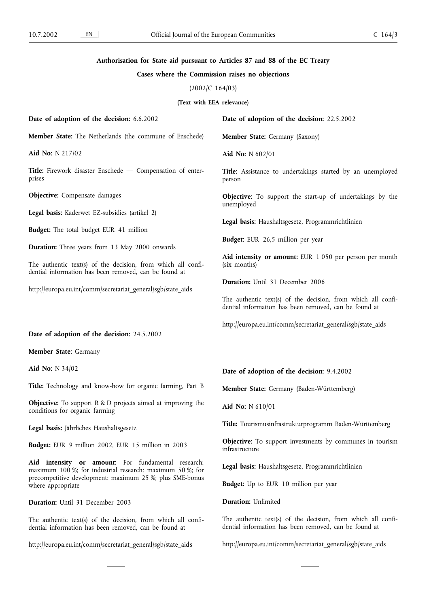## **Authorisation for State aid pursuant to Articles 87 and 88 of the EC Treaty**

## **Cases where the Commission raises no objections**

(2002/C 164/03)

**(Text with EEA relevance)**

**Date of adoption of the decision:** 6.6.2002

**Member State:** The Netherlands (the commune of Enschede)

**Aid No:** N 217/02

**Title:** Firework disaster Enschede — Compensation of enterprises

**Objective:** Compensate damages

**Legal basis:** Kaderwet EZ-subsidies (artikel 2)

**Budget:** The total budget EUR 41 million

**Duration:** Three years from 13 May 2000 onwards

The authentic text(s) of the decision, from which all confidential information has been removed, can be found at

http://europa.eu.int/comm/secretariat\_general/sgb/state\_aids

**Date of adoption of the decision:** 24.5.2002

**Member State:** Germany

**Aid No:** N 34/02

**Title:** Technology and know-how for organic farming, Part B

**Objective:** To support R & D projects aimed at improving the conditions for organic farming

**Legal basis:** Jährliches Haushaltsgesetz

**Budget:** EUR 9 million 2002, EUR 15 million in 2003

**Aid intensity or amount:** For fundamental research: maximum 100 %; for industrial research: maximum 50 %; for precompetitive development: maximum 25 %; plus SME-bonus where appropriate

**Duration:** Until 31 December 2003

The authentic text(s) of the decision, from which all confidential information has been removed, can be found at

http://europa.eu.int/comm/secretariat\_general/sgb/state\_aids

**Date of adoption of the decision:** 22.5.2002

**Member State:** Germany (Saxony)

**Aid No:** N 602/01

**Title:** Assistance to undertakings started by an unemployed person

**Objective:** To support the start-up of undertakings by the unemployed

**Legal basis:** Haushaltsgesetz, Programmrichtlinien

**Budget:** EUR 26,5 million per year

**Aid intensity or amount:** EUR 1 050 per person per month (six months)

**Duration:** Until 31 December 2006

The authentic text(s) of the decision, from which all confidential information has been removed, can be found at

http://europa.eu.int/comm/secretariat\_general/sgb/state\_aids

**Date of adoption of the decision:** 9.4.2002

**Member State:** Germany (Baden-Württemberg)

**Aid No:** N 610/01

**Title:** Tourismusinfrastrukturprogramm Baden-Württemberg

**Objective:** To support investments by communes in tourism infrastructure

**Legal basis:** Haushaltsgesetz, Programmrichtlinien

**Budget:** Up to EUR 10 million per year

**Duration:** Unlimited

The authentic text(s) of the decision, from which all confidential information has been removed, can be found at

http://europa.eu.int/comm/secretariat\_general/sgb/state\_aids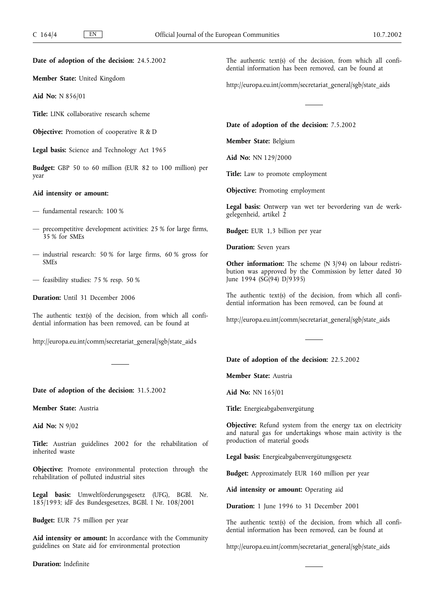**Date of adoption of the decision:** 24.5.2002

**Member State:** United Kingdom

**Aid No:** N 856/01

**Title:** LINK collaborative research scheme

**Objective:** Promotion of cooperative R & D

**Legal basis:** Science and Technology Act 1965

**Budget:** GBP 50 to 60 million (EUR 82 to 100 million) per year

# **Aid intensity or amount:**

- fundamental research: 100 %
- precompetitive development activities: 25 % for large firms, 35 % for SMEs
- industrial research: 50 % for large firms, 60 % gross for SMEs
- feasibility studies: 75 % resp. 50 %

**Duration:** Until 31 December 2006

The authentic text(s) of the decision, from which all confidential information has been removed, can be found at

http://europa.eu.int/comm/secretariat\_general/sgb/state\_aids

**Date of adoption of the decision:** 31.5.2002

**Member State:** Austria

**Aid No:** N 9/02

**Title:** Austrian guidelines 2002 for the rehabilitation of inherited waste

**Objective:** Promote environmental protection through the rehabilitation of polluted industrial sites

**Legal basis:** Umweltförderungsgesetz (UFG), BGBl. Nr. 185/1993; idF des Bundesgesetzes, BGBl. I Nr. 108/2001

**Budget:** EUR 75 million per year

**Aid intensity or amount:** In accordance with the Community guidelines on State aid for environmental protection

**Duration:** Indefinite

The authentic text(s) of the decision, from which all confidential information has been removed, can be found at

http://europa.eu.int/comm/secretariat\_general/sgb/state\_aids

**Date of adoption of the decision:** 7.5.2002

**Member State:** Belgium

**Aid No:** NN 129/2000

Title: Law to promote employment

**Objective:** Promoting employment

**Legal basis:** Ontwerp van wet ter bevordering van de werkgelegenheid, artikel 2

**Budget:** EUR 1,3 billion per year

**Duration:** Seven years

**Other information:** The scheme (N 3/94) on labour redistribution was approved by the Commission by letter dated 30 June 1994 (SG(94) D/9395)

The authentic text(s) of the decision, from which all confidential information has been removed, can be found at

http://europa.eu.int/comm/secretariat\_general/sgb/state\_aids

**Date of adoption of the decision:** 22.5.2002

**Member State:** Austria

**Aid No:** NN 165/01

**Title:** Energieabgabenvergütung

**Objective:** Refund system from the energy tax on electricity and natural gas for undertakings whose main activity is the production of material goods

**Legal basis:** Energieabgabenvergütungsgesetz

**Budget:** Approximately EUR 160 million per year

**Aid intensity or amount:** Operating aid

**Duration:** 1 June 1996 to 31 December 2001

The authentic text(s) of the decision, from which all confidential information has been removed, can be found at

http://europa.eu.int/comm/secretariat\_general/sgb/state\_aids